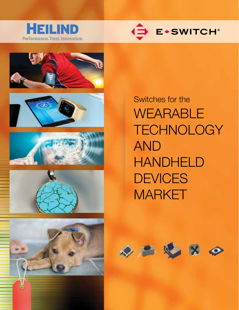













Switches for the WEARABLE **TECHNOLOGY** AND HANDHELD **DEVICES** MARKET

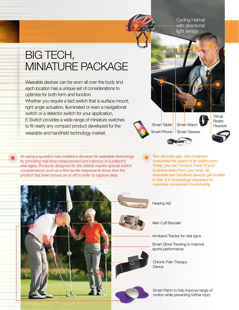Cycling Helmet with directional light sensor

## BIG TECH, MINIATURE PACKAGE

Wearable devices can be worn all over the body and each location has a unique set of considerations to optimize for both form and function. Whether you require a tact switch that is surface mount, right angle actuation, illuminated or even a navigational switch or a detector switch for your application, E-Switch provides a wide range of miniature switches to fit nearly any compact product developed for the wearable and handheld technology market.

*An aging population has created a demand for wearable technology by providing real-time measurement and memory of a patient's vital signs. Products designed for the elderly require special switch considerations such as a firm tactile response to know that the product has been turned on or off in order to capture data.*

Smart Tablet Smart Watch

Smart Phone | Smart Glasses

Virtual **Reality** Headset



*Two decades ago, one computer consumed the space of an entire room. Today, you can conduct many of your business tasks from your wrist. As wearable and handheld devices get smaller in size, it is increasingly important to maximize component functionality.*



Hearing Aid

Alert Cuff Bracelet

Armband Tracker for vital signs

Smart Glove Tracking to improve sports performance

Chronic Pain Therapy **Device** 

Smart Patch to help improve range of motion while preventing further injury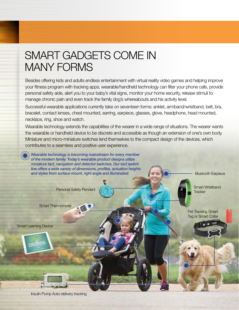## SMART GADGETS COME IN MANY FORMS

Besides offering kids and adults endless entertainment with virtual reality video games and helping improve your fitness program with tracking apps, wearable/handheld technology can filter your phone calls, provide personal safety aide, alert you to your baby's vital signs, monitor your home security, release stimuli to manage chronic pain and even track the family dog's whereabouts and his activity level.

Successful wearable applications currently take on seventeen forms: anklet, armband/wristband, belt, bra, bracelet, contact lenses, chest mounted, earring, earpiece, glasses, glove, headphone, head mounted, necklace, ring, shoe and watch.

Wearable technology extends the capabilities of the wearer in a wide range of situations. The wearer wants the wearable or handheld device to be discrete and accessible as though an extension of one's own body. Miniature and micro-miniature switches lend themselves to the compact design of the devices, which contributes to a seamless and positive user experience.



Insulin Pump Auto-delivery tracking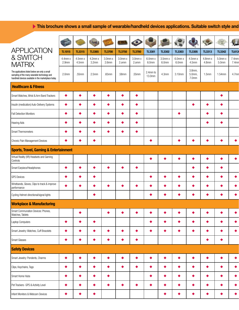## This brochure shows a small sample of wearable/handheld devices applications. Suitable switch style and  $\blacktriangleright$

|                                                                                                                                                        | $\leq$                            |                     |                                   |                                         |                    | $\bullet$        | P,                           |                       | $\mathbf{R}$     | $\mathbf{Q}$                          | $\ddot{\phantom{a}}$  | 三                            | $\sqrt{2}$      |
|--------------------------------------------------------------------------------------------------------------------------------------------------------|-----------------------------------|---------------------|-----------------------------------|-----------------------------------------|--------------------|------------------|------------------------------|-----------------------|------------------|---------------------------------------|-----------------------|------------------------------|-----------------|
| <b>APPLICATION</b><br>& SWITCH                                                                                                                         | <b>TL1015</b>                     | <b>TL3315</b>       | <b>TL3365</b>                     | <b>TL3700</b>                           | <b>TL3750</b>      | <b>TL3780</b>    | <b>TL3301</b>                | <b>TL3302</b>         | <b>TL3303</b>    | <b>TL3305</b>                         | <b>TL3313</b>         | <b>TL3342</b>                | <b>TL612</b>    |
| <b>MATRIX</b>                                                                                                                                          | $4.4$ mm $x$<br>2.9 <sub>mm</sub> | $4.5$ mm x<br>4.5mm | $4.2$ mm $x$<br>3.2 <sub>mm</sub> | 3.0 <sub>mmx</sub><br>2.6 <sub>mm</sub> | $3.0mm$ x<br>2.omm | 3.0mm x<br>2.omm | 6.0mm x<br>6.0 <sub>mm</sub> | $3.5$ mm $x$<br>6.0mm | 6.0mm x<br>6.0mm | $4.5$ mm $x$<br>4.5mm                 | 4.8mm x<br>4.8mm      | 5.0mm x<br>5.0 <sub>mm</sub> | 7.4mm<br>7.4mn  |
| The applications listed below are only a small<br>sampling of the many wearable technology and<br>handheld devices available in the marketplace today. | 2.0 <sub>mm</sub>                 | .55mm               | 2.5 <sub>mm</sub>                 | .65mm                                   | .58 <sub>mm</sub>  | .55mm            | 2.4mm to<br>13.0mm           | 4.3mm                 | 3.10mm           | 3.8mm,<br>5.0mm,<br>7.0 <sub>mm</sub> | 1.5mm                 | 1.54mm                       | 4.7mn           |
| <b>Healthcare &amp; Fitness</b>                                                                                                                        |                                   |                     |                                   |                                         |                    |                  |                              |                       |                  |                                       |                       |                              |                 |
| Smart Watches, Wrist & Arm Band Trackers                                                                                                               | $\bullet$                         |                     | $\bullet$                         | ٠                                       | $\bullet$          | $\bullet$        |                              |                       |                  |                                       |                       | $\bullet$                    |                 |
| Insulin (medication) Auto-Delivery Systems                                                                                                             | $\bullet$                         |                     | $\bullet$                         | $\bullet$                               | $\bullet$          | $\bullet$        |                              |                       |                  | $\bullet$                             | $\bullet$             | $\bullet$                    |                 |
| <b>Fall Detection Monitors</b>                                                                                                                         | $\bullet$                         |                     | $\bullet$                         | $\bullet$                               | $\bullet$          | $\bullet$        |                              |                       | $\bullet$        |                                       | $\bullet$             | $\bullet$                    |                 |
| <b>Hearing Aids</b>                                                                                                                                    | $\bullet$                         |                     | $\bullet$                         | $\bullet$                               | $\bullet$          | $\bullet$        |                              |                       |                  |                                       | $\bullet$             | ٠                            |                 |
| <b>Smart Thermometers</b>                                                                                                                              | $\bullet$                         |                     | $\bullet$                         | $\bullet$                               | $\bullet$          | $\bullet$        |                              |                       |                  |                                       |                       |                              |                 |
| Chronic Pain Management Devices                                                                                                                        | $\bullet$                         |                     | $\bullet$                         |                                         |                    |                  |                              |                       | $\bullet$        |                                       | ٠                     | ◆                            | $\bullet$       |
| <b>Sports, Travel, Gaming &amp; Entertainment</b>                                                                                                      |                                   |                     |                                   |                                         |                    |                  |                              |                       |                  |                                       |                       |                              |                 |
| Virtual Reality (VR) Headsets and Gaming<br>Controls                                                                                                   |                                   |                     |                                   |                                         |                    |                  | $\bullet$                    | ٠                     | $\bullet$        | $\bullet$                             | $\bullet$             | $\bullet$                    | $\bullet$       |
| Smart Earpiece/Headphones                                                                                                                              | $\bullet$                         |                     | $\bullet$                         | $\bullet$                               | $\bullet$          | $\bullet$        |                              |                       |                  | $\bullet$                             | $\bullet$             | $\bullet$                    |                 |
| <b>GPS Devices</b>                                                                                                                                     | $\bullet$                         |                     | ۰                                 |                                         |                    |                  | $\bullet$                    | $\bullet$             | ∙                | $\bullet$                             | $\bullet$             | ٠                            | $\bullet$       |
| Wristbands, Gloves, Clips to track & improve<br>performance                                                                                            | $\bullet$                         |                     | $\bullet$                         | $\bullet$                               | $\bullet$          | $\bullet$        | $\bullet$                    | $\bullet$             | $\bullet$        | $\bullet$                             | $\bullet$             | ∙                            | $\bullet$       |
| Cycling Helmet-directional/signal lights                                                                                                               |                                   |                     | ٠                                 |                                         |                    |                  | ◆                            | ∙                     | $\bullet$        |                                       | $\bullet$             | ∙                            | $\bullet$       |
| <b>Workplace &amp; Manufacturing</b>                                                                                                                   |                                   |                     |                                   |                                         |                    |                  |                              |                       |                  |                                       |                       |                              |                 |
| Smart Communation Devices: Phones,<br>Watches, Tablets                                                                                                 |                                   | $\bullet$           |                                   | $\bullet$                               | $\bullet$          | $\bullet$        | $\bullet$                    | $\bullet$             | $\bullet$        | $\bullet$                             | $\bullet$             | $\bullet$                    | $\bullet$       |
| Laptop Computers                                                                                                                                       | $\bullet$                         |                     | $\bullet$                         |                                         |                    |                  | $\bullet$                    | $\bullet$             | $\bullet$        | $\bullet$                             | $\bullet$             | $\bullet$                    | $\blacklozenge$ |
| Smart Jewelry: Watches, Cuff Bracelets                                                                                                                 | $\blacklozenge$                   |                     | $\bullet$                         | $\bullet$                               | $\bullet$          | $\bullet$        | $\bullet$                    | $\bullet$             | $\bullet$        | $\bullet$                             | $\bullet$             | $\bullet$                    | $\blacklozenge$ |
| <b>Smart Glasses</b>                                                                                                                                   | $\blacklozenge$                   | $\bullet$           | $\bullet$                         | $\bullet$                               | $\bullet$          | $\bullet$        |                              |                       |                  |                                       | $\bullet$             | $\bullet$                    |                 |
| <b>Safety Devices</b>                                                                                                                                  |                                   |                     |                                   |                                         |                    |                  |                              |                       |                  |                                       |                       |                              |                 |
| Smart Jewelry: Pendents, Charms                                                                                                                        | $\bullet$                         | $\bullet$           | $\bullet$                         | $\bullet$                               | $\bullet$          | $\bullet$        | $\bullet$                    | $\bullet$             | $\bullet$        | $\bullet$                             | $\blacktriangleright$ | $\bullet$                    | $\blacklozenge$ |
| Clips, Keychains, Tags                                                                                                                                 | $\blacklozenge$                   |                     | $\bullet$                         | $\bullet$                               | $\bullet$          | $\bullet$        | $\bullet$                    | $\bullet$             | $\bullet$        | $\bullet$                             | $\bullet$             | $\bullet$                    | $\blacklozenge$ |
| Smart Home Hubs                                                                                                                                        | $\bullet$                         |                     | $\bullet$                         | $\bullet$                               |                    |                  | $\bullet$                    | $\bullet$             | $\bullet$        | $\bullet$                             | $\bullet$             | $\bullet$                    | $\blacklozenge$ |
| Pet Trackers- GPS & Activity Level                                                                                                                     | $\blacklozenge$                   |                     | $\bullet$                         | $\bullet$                               | $\bullet$          | $\bullet$        | $\bullet$                    | $\bullet$             | $\bullet$        | $\bullet$                             | $\bullet$             | $\bullet$                    | $\blacklozenge$ |
| Infant Monitors & Webcam Devices                                                                                                                       | $\blacklozenge$                   | $\bullet$           | $\bullet$                         |                                         |                    |                  |                              | $\bullet$             | $\bullet$        | $\bullet$                             | $\blacktriangleright$ | $\bullet$                    | $\blacklozenge$ |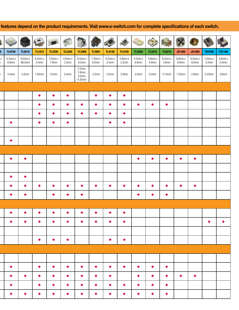## features depend on the product requirements. Visit www.e-switch.com for complete specifications of each switch.

| <b>TL6700</b>                     |  | <b>TL9210</b>     | <b>TL1014</b>                     | <b>TL3330</b>       | <b>TL3340</b>                     | <b>TL3360</b>                              | <b>TL3901</b>                     | <b>TL4100</b>                   | <b>TL4105</b>         | <b>TL3200</b>         | <b>TL3215</b>         | <b>TL6210</b>         | <b>JS1300</b>                     | <b>JS1400</b>                     | <b>TD4700</b>                     | TD1146                          |
|-----------------------------------|--|-------------------|-----------------------------------|---------------------|-----------------------------------|--------------------------------------------|-----------------------------------|---------------------------------|-----------------------|-----------------------|-----------------------|-----------------------|-----------------------------------|-----------------------------------|-----------------------------------|---------------------------------|
| $6.2$ mm $x$<br>6.9 <sub>mm</sub> |  | 6.0mm x<br>66.0mm | $6.4$ mm $x$<br>4.5 <sub>mm</sub> | $3.4$ mm x<br>7.8mm | $4.0$ mm $x$<br>3.3 <sub>mm</sub> | $6.0$ mm x<br>$6.5$ mm                     | $7.3$ mm $x$<br>6.0 <sub>mm</sub> | $6.2$ mm x<br>2.5 <sub>mm</sub> | $4.8$ mm $x$<br>2.2mm | $4.5$ mm $x$<br>6.8mm | $4.9$ mm $x$<br>4.9mm | $6.2$ mm $x$<br>4.6mm | $9.8$ mm $x$<br>9.8 <sub>mm</sub> | $9.0$ mm $x$<br>9.0 <sub>mm</sub> | $3.5$ mm $x$<br>3.0 <sub>mm</sub> | $4.8$ mm x<br>5.0 <sub>mm</sub> |
| 3.4 <sub>mm</sub>                 |  | 5.0 <sub>mm</sub> | 1.65mm                            | 3.5 <sub>mm</sub>   | 3.4 <sub>mm</sub>                 | $2.3$ mm,<br>$2.8$ mm,<br>4.0mm,<br>4.35mm | 2.3 <sub>mm</sub>                 | 2.0 <sub>mm</sub>               | 2.9 <sub>mm</sub>     | 2.0 <sub>mm</sub>     | 2.0 <sub>mm</sub>     | $3.72$ mm             | 1.55mm                            | 2.8 <sub>mm</sub>                 | 2.53mm                            | 3.8 <sub>mm</sub>               |
|                                   |  |                   |                                   |                     |                                   |                                            |                                   |                                 |                       |                       |                       |                       |                                   |                                   |                                   |                                 |
|                                   |  |                   | $\bullet$                         | $\bullet$           | $\bullet$                         |                                            | $\bullet$                         | $\bullet$                       | $\bullet$             |                       |                       |                       |                                   |                                   |                                   |                                 |
|                                   |  |                   | $\bullet$                         | ٠                   | $\bullet$                         | $\bullet$                                  | $\bullet$                         | $\bullet$                       | $\bullet$             | $\bullet$             | $\bullet$             | $\bullet$             |                                   |                                   |                                   |                                 |
|                                   |  |                   | $\bullet$                         | ◆                   | $\bullet$                         | $\bullet$                                  | ٠                                 | $\bullet$                       | $\bullet$             |                       |                       |                       |                                   |                                   |                                   |                                 |
| $\bullet$                         |  |                   | $\bullet$                         | ٠                   | $\bullet$                         |                                            |                                   | $\bullet$                       | $\bullet$             |                       |                       |                       |                                   |                                   |                                   |                                 |
|                                   |  |                   |                                   |                     |                                   |                                            |                                   |                                 |                       |                       |                       |                       |                                   |                                   |                                   |                                 |
| $\bullet$                         |  |                   |                                   |                     |                                   |                                            |                                   |                                 |                       |                       |                       |                       |                                   |                                   |                                   |                                 |
|                                   |  |                   |                                   |                     |                                   |                                            |                                   |                                 |                       |                       |                       |                       |                                   |                                   |                                   |                                 |
| $\bullet$                         |  | $\bullet$         |                                   |                     |                                   |                                            |                                   |                                 |                       | $\bullet$             | $\bullet$             | $\bullet$             | $\bullet$                         | $\bullet$                         |                                   |                                 |
|                                   |  |                   |                                   |                     |                                   |                                            |                                   |                                 |                       |                       |                       |                       |                                   |                                   |                                   |                                 |
| $\bullet$                         |  | $\bullet$         |                                   |                     |                                   |                                            |                                   |                                 |                       |                       |                       |                       |                                   |                                   |                                   |                                 |
| $\bullet$                         |  | $\bullet$         | $\bullet$                         | $\bullet$           | $\bullet$                         | $\bullet$                                  | $\bullet$                         | $\bullet$                       | $\bullet$             | $\bullet$             | $\bullet$             | $\bullet$             | $\bullet$                         | $\bullet$                         |                                   |                                 |
| $\bullet$                         |  | $\bullet$         |                                   | ◆                   | $\bullet$                         | -4                                         |                                   |                                 |                       |                       | $\bullet$             | $\bullet$             |                                   |                                   |                                   |                                 |
|                                   |  |                   |                                   |                     |                                   |                                            |                                   |                                 |                       |                       |                       |                       |                                   |                                   |                                   |                                 |
| $\bullet$                         |  | $\bullet$         | $\bullet$                         | $\bullet$           | $\bullet$                         | $\blacktriangleright$                      | $\bullet$                         | $\bullet$                       | $\bullet$             |                       |                       |                       |                                   |                                   |                                   |                                 |
| $\bullet$                         |  | $\bullet$         | $\bullet$                         | $\bullet$           | $\bullet$                         | $\blacktriangleright$                      | $\bullet$                         | $\bullet$                       | $\bullet$             |                       |                       |                       |                                   |                                   | $\bullet$                         |                                 |
|                                   |  |                   |                                   |                     |                                   |                                            |                                   |                                 |                       |                       |                       |                       |                                   |                                   |                                   |                                 |
|                                   |  |                   | $\blacktriangleright$             | $\bullet$           | $\bullet$                         |                                            |                                   | $\blacktriangleright$           | $\blacktriangleright$ |                       |                       |                       |                                   |                                   |                                   |                                 |
|                                   |  |                   |                                   |                     |                                   |                                            |                                   |                                 |                       |                       |                       |                       |                                   |                                   |                                   |                                 |
|                                   |  |                   |                                   |                     |                                   |                                            |                                   |                                 |                       |                       |                       |                       |                                   |                                   |                                   |                                 |
| $\bullet$                         |  |                   | $\bullet$                         | $\bullet$           | $\bullet$                         | $\bullet$                                  | $\bullet$                         | $\blacktriangleright$           | $\bullet$             | $\bullet$             | $\bullet$             | $\bullet$             |                                   |                                   |                                   |                                 |
| $\bullet$                         |  | $\bullet$         | $\bullet$                         | $\bullet$           | $\bullet$                         | $\bullet$                                  | $\bullet$                         | $\bullet$                       |                       | $\bullet$             | $\bullet$             | $\bullet$             | $\bullet$                         | $\bullet$                         |                                   |                                 |
| $\bullet$                         |  |                   | $\bullet$                         | $\bullet$           | $\bullet$                         | $\blacklozenge$                            | $\bullet$                         | $\bullet$                       | $\bullet$             | $\bullet$             | $\bullet$             | $\bullet$             |                                   |                                   |                                   |                                 |
| $\bullet$                         |  | $\bullet$         | $\bullet$                         | $\bullet$           | $\bullet$                         | $\bullet$                                  | $\bullet$                         | $\bullet$                       | $\bullet$             | $\bullet$             | $\bullet$             | $\blacklozenge$       |                                   |                                   |                                   |                                 |